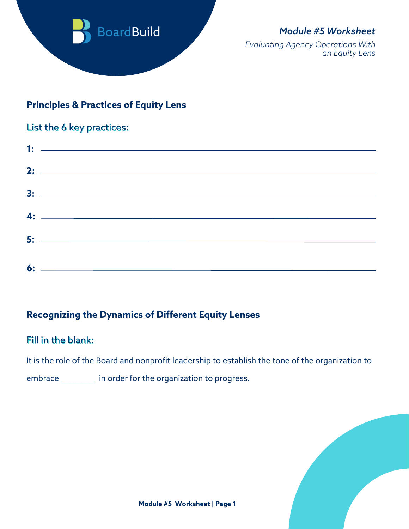

# *Module #5 Worksheet*

*Evaluating Agency Operations With an Equity Lens*

### **Principles & Practices of Equity Lens**

#### List the 6 key practices:

| <u>1: —————————————————————</u> |
|---------------------------------|
|                                 |
|                                 |
| $4:$ $\overline{\phantom{a}}$   |
|                                 |
|                                 |

# **Recognizing the Dynamics of Different Equity Lenses**

### Fill in the blank:

It is the role of the Board and nonprofit leadership to establish the tone of the organization to

embrace \_\_\_\_\_\_\_\_\_ in order for the organization to progress.

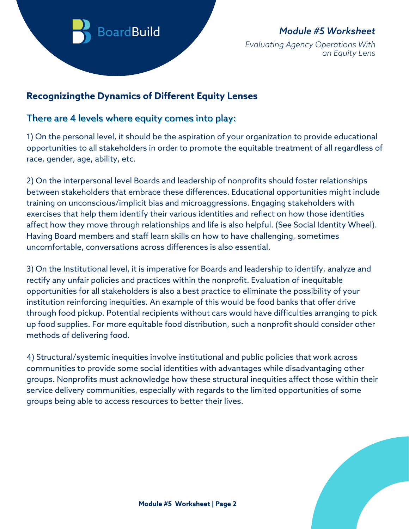

# *Module #5 Worksheet*

*Evaluating Agency Operations With an Equity Lens*

# **Recognizingthe Dynamics of Different Equity Lenses**

#### There are 4 levels where equity comes into play:

1) On the personal level, it should be the aspiration of your organization to provide educational opportunities to all stakeholders in order to promote the equitable treatment of all regardless of race, gender, age, ability, etc.

2) On the interpersonal level Boards and leadership of nonprofits should foster relationships between stakeholders that embrace these differences. Educational opportunities might include training on unconscious/implicit bias and microaggressions. Engaging stakeholders with exercises that help them identify their various identities and reflect on how those identities affect how they move through relationships and life is also helpful. (See Social Identity Wheel). Having Board members and staff learn skills on how to have challenging, sometimes uncomfortable, conversations across differences is also essential.

3) On the Institutional level, it is imperative for Boards and leadership to identify, analyze and rectify any unfair policies and practices within the nonprofit. Evaluation of inequitable opportunities for all stakeholders is also a best practice to eliminate the possibility of your institution reinforcing inequities. An example of this would be food banks that offer drive through food pickup. Potential recipients without cars would have difficulties arranging to pick up food supplies. For more equitable food distribution, such a nonprofit should consider other methods of delivering food.

4) Structural/systemic inequities involve institutional and public policies that work across communities to provide some social identities with advantages while disadvantaging other groups. Nonprofits must acknowledge how these structural inequities affect those within their service delivery communities, especially with regards to the limited opportunities of some groups being able to access resources to better their lives.